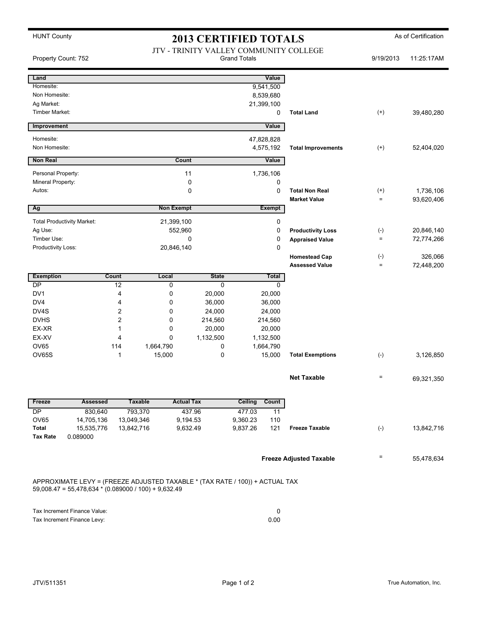|  | <b>HUNT County</b> |
|--|--------------------|
|--|--------------------|

## **2013 CERTIFIED TOTALS** As of Certification

| Property Count: 752                                         |                                                                                                                                        |                       |                       | 2019 CERTIFIED TOTALD<br>JTV - TRINITY VALLEY COMMUNITY COLLEGE | <b>Grand Totals</b>    |               |                                               | 9/19/2013                 | 11:25:17AM |
|-------------------------------------------------------------|----------------------------------------------------------------------------------------------------------------------------------------|-----------------------|-----------------------|-----------------------------------------------------------------|------------------------|---------------|-----------------------------------------------|---------------------------|------------|
| Land                                                        |                                                                                                                                        |                       |                       |                                                                 |                        | Value         |                                               |                           |            |
| Homesite:                                                   |                                                                                                                                        |                       |                       |                                                                 |                        | 9,541,500     |                                               |                           |            |
| Non Homesite:                                               |                                                                                                                                        |                       |                       |                                                                 |                        | 8,539,680     |                                               |                           |            |
| Ag Market:                                                  |                                                                                                                                        |                       |                       |                                                                 |                        | 21,399,100    |                                               |                           |            |
| Timber Market:                                              |                                                                                                                                        |                       |                       |                                                                 |                        | 0             | <b>Total Land</b>                             | $^{(+)}$                  | 39,480,280 |
| Improvement                                                 |                                                                                                                                        |                       |                       |                                                                 |                        | Value         |                                               |                           |            |
| Homesite:                                                   |                                                                                                                                        |                       |                       |                                                                 |                        | 47,828,828    |                                               |                           |            |
| Non Homesite:                                               |                                                                                                                                        |                       |                       |                                                                 |                        | 4,575,192     | <b>Total Improvements</b>                     | $^{(+)}$                  | 52,404,020 |
| <b>Non Real</b>                                             |                                                                                                                                        |                       | Count                 |                                                                 |                        | Value         |                                               |                           |            |
| Personal Property:                                          |                                                                                                                                        |                       |                       | 11                                                              |                        | 1,736,106     |                                               |                           |            |
| Mineral Property:                                           |                                                                                                                                        |                       |                       | 0                                                               |                        | 0             |                                               |                           |            |
| Autos:                                                      |                                                                                                                                        |                       |                       | 0                                                               |                        | 0             | <b>Total Non Real</b>                         | $^{(+)}$                  | 1,736,106  |
|                                                             |                                                                                                                                        |                       |                       |                                                                 |                        |               | <b>Market Value</b>                           | $=$                       | 93,620,406 |
| Ag                                                          |                                                                                                                                        |                       | <b>Non Exempt</b>     |                                                                 |                        | <b>Exempt</b> |                                               |                           |            |
| <b>Total Productivity Market:</b>                           |                                                                                                                                        |                       |                       |                                                                 |                        | 0             |                                               |                           |            |
| Ag Use:                                                     |                                                                                                                                        |                       | 21,399,100<br>552,960 |                                                                 |                        | 0             | <b>Productivity Loss</b>                      | $(-)$                     | 20,846,140 |
| Timber Use:                                                 |                                                                                                                                        |                       |                       | 0                                                               |                        | 0             |                                               | $=$                       | 72,774,266 |
| Productivity Loss:                                          |                                                                                                                                        |                       | 20,846,140            |                                                                 |                        | $\mathbf{0}$  | <b>Appraised Value</b>                        |                           |            |
|                                                             |                                                                                                                                        |                       |                       |                                                                 |                        |               |                                               |                           | 326,066    |
|                                                             |                                                                                                                                        |                       |                       |                                                                 |                        |               | <b>Homestead Cap</b><br><b>Assessed Value</b> | $(\text{-})$<br>$\quad =$ | 72,448,200 |
| <b>Exemption</b>                                            | Count                                                                                                                                  |                       | Local                 | <b>State</b>                                                    |                        | Total         |                                               |                           |            |
| DP                                                          |                                                                                                                                        | 12                    | 0                     | 0                                                               |                        | 0             |                                               |                           |            |
| DV1                                                         |                                                                                                                                        | 4                     | 0                     | 20,000                                                          | 20,000                 |               |                                               |                           |            |
| DV <sub>4</sub>                                             |                                                                                                                                        | 4                     | 0                     | 36,000                                                          |                        |               |                                               |                           |            |
| DV4S                                                        |                                                                                                                                        | $\overline{c}$        | 0                     | 24,000                                                          | 36,000<br>24,000       |               |                                               |                           |            |
| <b>DVHS</b>                                                 |                                                                                                                                        | $\overline{c}$        | 0                     | 214,560                                                         |                        |               |                                               |                           |            |
| EX-XR                                                       |                                                                                                                                        | 1                     | 0                     | 20,000                                                          | 214,560                |               |                                               |                           |            |
| EX-XV                                                       |                                                                                                                                        | 4                     | 0                     | 1,132,500                                                       | 20,000                 |               |                                               |                           |            |
| OV65                                                        |                                                                                                                                        | 114                   | 1,664,790             | 0                                                               | 1,132,500<br>1,664,790 |               |                                               |                           |            |
| <b>OV65S</b>                                                |                                                                                                                                        | 1                     | 15,000                | 0                                                               | 15,000                 |               | <b>Total Exemptions</b>                       | $(-)$                     | 3,126,850  |
|                                                             |                                                                                                                                        |                       |                       |                                                                 |                        |               |                                               |                           |            |
|                                                             |                                                                                                                                        |                       |                       |                                                                 |                        |               | <b>Net Taxable</b>                            | $\quad \  \  =$           | 69,321,350 |
| <b>Freeze</b>                                               | <b>Assessed</b>                                                                                                                        | <b>Taxable</b>        |                       | <b>Actual Tax</b>                                               | Ceiling                | Count         |                                               |                           |            |
|                                                             |                                                                                                                                        |                       |                       |                                                                 |                        |               |                                               |                           |            |
| DP<br>OV65                                                  | 830,640<br>14,705,136                                                                                                                  | 793,370<br>13,049,346 |                       | 437.96<br>9,194.53                                              | 477.03<br>9,360.23     | 11<br>110     |                                               |                           |            |
| Total                                                       | 15,535,776                                                                                                                             | 13,842,716            |                       | 9,632.49                                                        | 9,837.26               | 121           | <b>Freeze Taxable</b>                         | $(-)$                     | 13,842,716 |
| <b>Tax Rate</b>                                             | 0.089000                                                                                                                               |                       |                       |                                                                 |                        |               |                                               |                           |            |
|                                                             |                                                                                                                                        |                       |                       |                                                                 |                        |               |                                               |                           |            |
|                                                             |                                                                                                                                        |                       |                       |                                                                 |                        |               | <b>Freeze Adjusted Taxable</b>                | $\equiv$                  | 55,478,634 |
|                                                             | APPROXIMATE LEVY = (FREEZE ADJUSTED TAXABLE * (TAX RATE / 100)) + ACTUAL TAX<br>$59,008.47 = 55,478,634 * (0.089000 / 100) + 9,632.49$ |                       |                       |                                                                 |                        |               |                                               |                           |            |
|                                                             |                                                                                                                                        |                       |                       |                                                                 |                        |               |                                               |                           |            |
| Tax Increment Finance Value:<br>Tax Increment Finance Levy: |                                                                                                                                        |                       |                       |                                                                 |                        | 0<br>0.00     |                                               |                           |            |
|                                                             |                                                                                                                                        |                       |                       |                                                                 |                        |               |                                               |                           |            |